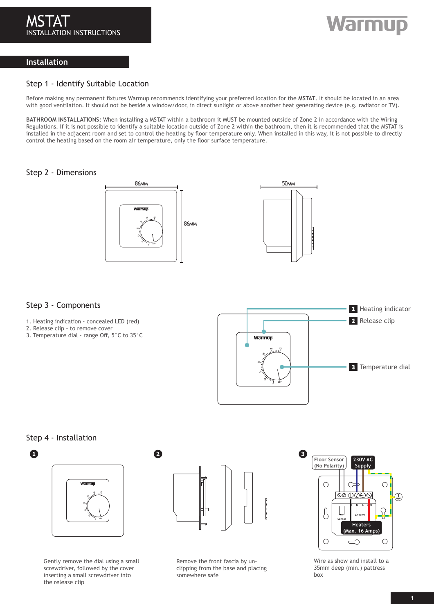# Warmup

# **Installation**

### Step 1 - Identify Suitable Location

Before making any permanent fixtures Warmup recommends identifying your preferred location for the **MSTAT**. It should be located in an area with good ventilation. It should not be beside a window/door, in direct sunlight or above another heat generating device (e.g. radiator or TV).

**BATHROOM INSTALLATIONS:** When installing a MSTAT within a bathroom it MUST be mounted outside of Zone 2 in accordance with the Wiring Regulations. If it is not possible to identify a suitable location outside of Zone 2 within the bathroom, then it is recommended that the MSTAT is installed in the adjacent room and set to control the heating by floor temperature only. When installed in this way, it is not possible to directly control the heating based on the room air temperature, only the floor surface temperature.

### Step 2 - Dimensions





### Step 3 - Components

- 1. Heating indication concealed LED (red)
- 2. Release clip to remove cover
- 3. Temperature dial range Off, 5°C to 35°C



### Step 4 - Installation



Gently remove the dial using a small screwdriver, followed by the cover inserting a small screwdriver into the release clip



Remove the front fascia by unclipping from the base and placing somewhere safe



Wire as show and install to a 35mm deep (min.) pattress box